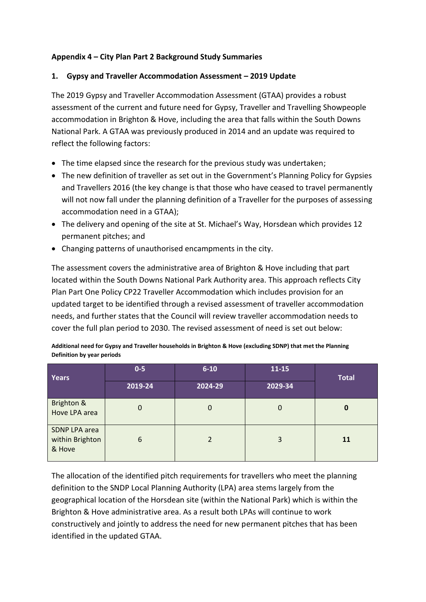## **Appendix 4 – City Plan Part 2 Background Study Summaries**

#### **1. Gypsy and Traveller Accommodation Assessment – 2019 Update**

The 2019 Gypsy and Traveller Accommodation Assessment (GTAA) provides a robust assessment of the current and future need for Gypsy, Traveller and Travelling Showpeople accommodation in Brighton & Hove, including the area that falls within the South Downs National Park. A GTAA was previously produced in 2014 and an update was required to reflect the following factors:

- The time elapsed since the research for the previous study was undertaken;
- The new definition of traveller as set out in the Government's Planning Policy for Gypsies and Travellers 2016 (the key change is that those who have ceased to travel permanently will not now fall under the planning definition of a Traveller for the purposes of assessing accommodation need in a GTAA);
- The delivery and opening of the site at St. Michael's Way, Horsdean which provides 12 permanent pitches; and
- Changing patterns of unauthorised encampments in the city.

The assessment covers the administrative area of Brighton & Hove including that part located within the South Downs National Park Authority area. This approach reflects City Plan Part One Policy CP22 Traveller Accommodation which includes provision for an updated target to be identified through a revised assessment of traveller accommodation needs, and further states that the Council will review traveller accommodation needs to cover the full plan period to 2030. The revised assessment of need is set out below:

| Definition by year periods                                                                                   |  |  |  |  |  |  |  |
|--------------------------------------------------------------------------------------------------------------|--|--|--|--|--|--|--|
| Additional need for Gypsy and Traveller nouseholds in Brighton & Hove (excluding SDNP) that met the Planning |  |  |  |  |  |  |  |

**Additional need for Gypsy and Traveller households in Brighton & Hove (excluding SDNP) that met the Planning** 

| Years                                      | $0-5$<br>2019-24 | $6 - 10$<br>2024-29 | $11 - 15$<br>2029-34 | <b>Total</b> |
|--------------------------------------------|------------------|---------------------|----------------------|--------------|
| Brighton &<br>Hove LPA area                | $\Omega$         | $\mathbf{0}$        | $\mathbf 0$          | 0            |
| SDNP LPA area<br>within Brighton<br>& Hove | 6                | 2                   | 3                    | 11           |

The allocation of the identified pitch requirements for travellers who meet the planning definition to the SNDP Local Planning Authority (LPA) area stems largely from the geographical location of the Horsdean site (within the National Park) which is within the Brighton & Hove administrative area. As a result both LPAs will continue to work constructively and jointly to address the need for new permanent pitches that has been identified in the updated GTAA.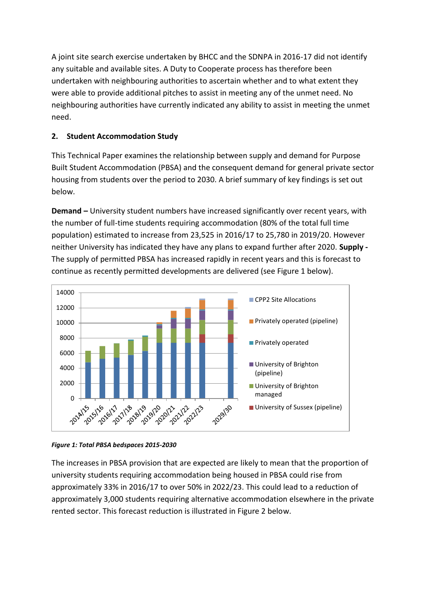A joint site search exercise undertaken by BHCC and the SDNPA in 2016-17 did not identify any suitable and available sites. A Duty to Cooperate process has therefore been undertaken with neighbouring authorities to ascertain whether and to what extent they were able to provide additional pitches to assist in meeting any of the unmet need. No neighbouring authorities have currently indicated any ability to assist in meeting the unmet need.

# **2. Student Accommodation Study**

This Technical Paper examines the relationship between supply and demand for Purpose Built Student Accommodation (PBSA) and the consequent demand for general private sector housing from students over the period to 2030. A brief summary of key findings is set out below.

**Demand –** University student numbers have increased significantly over recent years, with the number of full-time students requiring accommodation (80% of the total full time population) estimated to increase from 23,525 in 2016/17 to 25,780 in 2019/20. However neither University has indicated they have any plans to expand further after 2020. **Supply -** The supply of permitted PBSA has increased rapidly in recent years and this is forecast to continue as recently permitted developments are delivered (see Figure 1 below).





The increases in PBSA provision that are expected are likely to mean that the proportion of university students requiring accommodation being housed in PBSA could rise from approximately 33% in 2016/17 to over 50% in 2022/23. This could lead to a reduction of approximately 3,000 students requiring alternative accommodation elsewhere in the private rented sector. This forecast reduction is illustrated in Figure 2 below.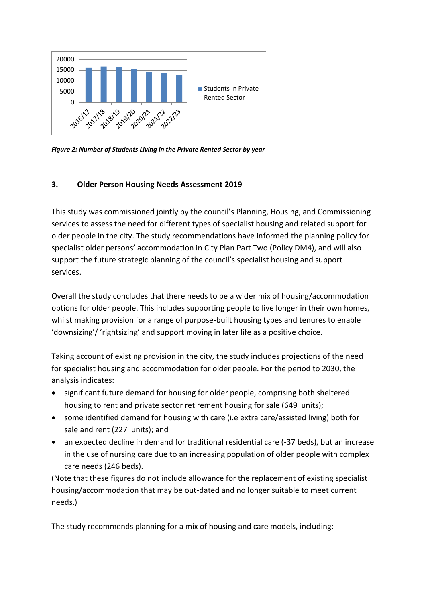

*Figure 2: Number of Students Living in the Private Rented Sector by year*

## **3. Older Person Housing Needs Assessment 2019**

This study was commissioned jointly by the council's Planning, Housing, and Commissioning services to assess the need for different types of specialist housing and related support for older people in the city. The study recommendations have informed the planning policy for specialist older persons' accommodation in City Plan Part Two (Policy DM4), and will also support the future strategic planning of the council's specialist housing and support services.

Overall the study concludes that there needs to be a wider mix of housing/accommodation options for older people. This includes supporting people to live longer in their own homes, whilst making provision for a range of purpose-built housing types and tenures to enable 'downsizing'/ 'rightsizing' and support moving in later life as a positive choice.

Taking account of existing provision in the city, the study includes projections of the need for specialist housing and accommodation for older people. For the period to 2030, the analysis indicates:

- significant future demand for housing for older people, comprising both sheltered housing to rent and private sector retirement housing for sale (649 units);
- some identified demand for housing with care (i.e extra care/assisted living) both for sale and rent (227 units); and
- an expected decline in demand for traditional residential care (-37 beds), but an increase in the use of nursing care due to an increasing population of older people with complex care needs (246 beds).

(Note that these figures do not include allowance for the replacement of existing specialist housing/accommodation that may be out-dated and no longer suitable to meet current needs.)

The study recommends planning for a mix of housing and care models, including: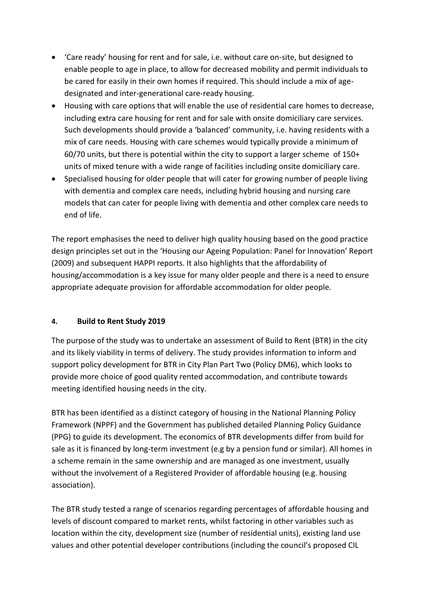- 'Care ready' housing for rent and for sale, i.e. without care on-site, but designed to enable people to age in place, to allow for decreased mobility and permit individuals to be cared for easily in their own homes if required. This should include a mix of agedesignated and inter-generational care-ready housing.
- Housing with care options that will enable the use of residential care homes to decrease, including extra care housing for rent and for sale with onsite domiciliary care services. Such developments should provide a 'balanced' community, i.e. having residents with a mix of care needs. Housing with care schemes would typically provide a minimum of 60/70 units, but there is potential within the city to support a larger scheme of 150+ units of mixed tenure with a wide range of facilities including onsite domiciliary care.
- Specialised housing for older people that will cater for growing number of people living with dementia and complex care needs, including hybrid housing and nursing care models that can cater for people living with dementia and other complex care needs to end of life.

The report emphasises the need to deliver high quality housing based on the good practice design principles set out in the 'Housing our Ageing Population: Panel for Innovation' Report (2009) and subsequent HAPPI reports. It also highlights that the affordability of housing/accommodation is a key issue for many older people and there is a need to ensure appropriate adequate provision for affordable accommodation for older people.

#### **4. Build to Rent Study 2019**

The purpose of the study was to undertake an assessment of Build to Rent (BTR) in the city and its likely viability in terms of delivery. The study provides information to inform and support policy development for BTR in City Plan Part Two (Policy DM6), which looks to provide more choice of good quality rented accommodation, and contribute towards meeting identified housing needs in the city.

BTR has been identified as a distinct category of housing in the National Planning Policy Framework (NPPF) and the Government has published detailed Planning Policy Guidance (PPG) to guide its development. The economics of BTR developments differ from build for sale as it is financed by long-term investment (e.g by a pension fund or similar). All homes in a scheme remain in the same ownership and are managed as one investment, usually without the involvement of a Registered Provider of affordable housing (e.g. housing association).

The BTR study tested a range of scenarios regarding percentages of affordable housing and levels of discount compared to market rents, whilst factoring in other variables such as location within the city, development size (number of residential units), existing land use values and other potential developer contributions (including the council's proposed CIL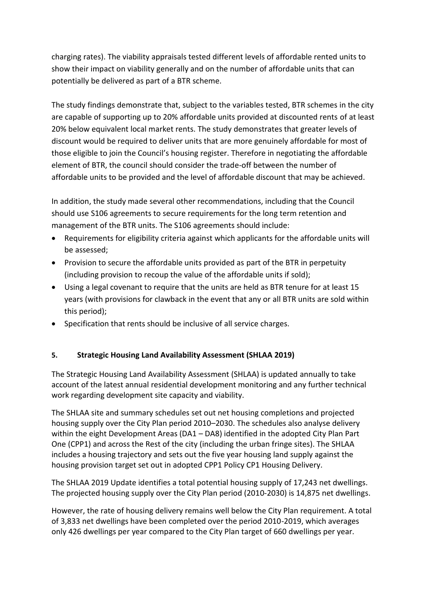charging rates). The viability appraisals tested different levels of affordable rented units to show their impact on viability generally and on the number of affordable units that can potentially be delivered as part of a BTR scheme.

The study findings demonstrate that, subject to the variables tested, BTR schemes in the city are capable of supporting up to 20% affordable units provided at discounted rents of at least 20% below equivalent local market rents. The study demonstrates that greater levels of discount would be required to deliver units that are more genuinely affordable for most of those eligible to join the Council's housing register. Therefore in negotiating the affordable element of BTR, the council should consider the trade-off between the number of affordable units to be provided and the level of affordable discount that may be achieved.

In addition, the study made several other recommendations, including that the Council should use S106 agreements to secure requirements for the long term retention and management of the BTR units. The S106 agreements should include:

- Requirements for eligibility criteria against which applicants for the affordable units will be assessed;
- Provision to secure the affordable units provided as part of the BTR in perpetuity (including provision to recoup the value of the affordable units if sold);
- Using a legal covenant to require that the units are held as BTR tenure for at least 15 years (with provisions for clawback in the event that any or all BTR units are sold within this period);
- Specification that rents should be inclusive of all service charges.

## **5. Strategic Housing Land Availability Assessment (SHLAA 2019)**

The Strategic Housing Land Availability Assessment (SHLAA) is updated annually to take account of the latest annual residential development monitoring and any further technical work regarding development site capacity and viability.

The SHLAA site and summary schedules set out net housing completions and projected housing supply over the City Plan period 2010–2030. The schedules also analyse delivery within the eight Development Areas (DA1 – DA8) identified in the adopted City Plan Part One (CPP1) and across the Rest of the city (including the urban fringe sites). The SHLAA includes a housing trajectory and sets out the five year housing land supply against the housing provision target set out in adopted CPP1 Policy CP1 Housing Delivery.

The SHLAA 2019 Update identifies a total potential housing supply of 17,243 net dwellings. The projected housing supply over the City Plan period (2010-2030) is 14,875 net dwellings.

However, the rate of housing delivery remains well below the City Plan requirement. A total of 3,833 net dwellings have been completed over the period 2010-2019, which averages only 426 dwellings per year compared to the City Plan target of 660 dwellings per year.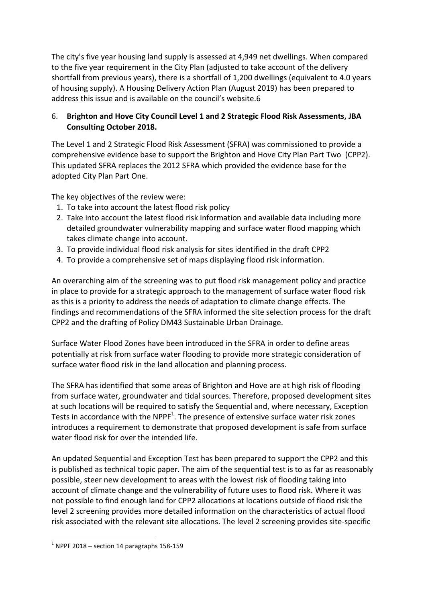The city's five year housing land supply is assessed at 4,949 net dwellings. When compared to the five year requirement in the City Plan (adjusted to take account of the delivery shortfall from previous years), there is a shortfall of 1,200 dwellings (equivalent to 4.0 years of housing supply). A Housing Delivery Action Plan (August 2019) has been prepared to address this issue and is available on the council's website.6

## 6. **Brighton and Hove City Council Level 1 and 2 Strategic Flood Risk Assessments, JBA Consulting October 2018.**

The Level 1 and 2 Strategic Flood Risk Assessment (SFRA) was commissioned to provide a comprehensive evidence base to support the Brighton and Hove City Plan Part Two (CPP2). This updated SFRA replaces the 2012 SFRA which provided the evidence base for the adopted City Plan Part One.

The key objectives of the review were:

- 1. To take into account the latest flood risk policy
- 2. Take into account the latest flood risk information and available data including more detailed groundwater vulnerability mapping and surface water flood mapping which takes climate change into account.
- 3. To provide individual flood risk analysis for sites identified in the draft CPP2
- 4. To provide a comprehensive set of maps displaying flood risk information.

An overarching aim of the screening was to put flood risk management policy and practice in place to provide for a strategic approach to the management of surface water flood risk as this is a priority to address the needs of adaptation to climate change effects. The findings and recommendations of the SFRA informed the site selection process for the draft CPP2 and the drafting of Policy DM43 Sustainable Urban Drainage.

Surface Water Flood Zones have been introduced in the SFRA in order to define areas potentially at risk from surface water flooding to provide more strategic consideration of surface water flood risk in the land allocation and planning process.

The SFRA has identified that some areas of Brighton and Hove are at high risk of flooding from surface water, groundwater and tidal sources. Therefore, proposed development sites at such locations will be required to satisfy the Sequential and, where necessary, Exception Tests in accordance with the NPPF<sup>1</sup>. The presence of extensive surface water risk zones introduces a requirement to demonstrate that proposed development is safe from surface water flood risk for over the intended life.

An updated Sequential and Exception Test has been prepared to support the CPP2 and this is published as technical topic paper. The aim of the sequential test is to as far as reasonably possible, steer new development to areas with the lowest risk of flooding taking into account of climate change and the vulnerability of future uses to flood risk. Where it was not possible to find enough land for CPP2 allocations at locations outside of flood risk the level 2 screening provides more detailed information on the characteristics of actual flood risk associated with the relevant site allocations. The level 2 screening provides site-specific

**.** 

 $1$  NPPF 2018 – section 14 paragraphs 158-159